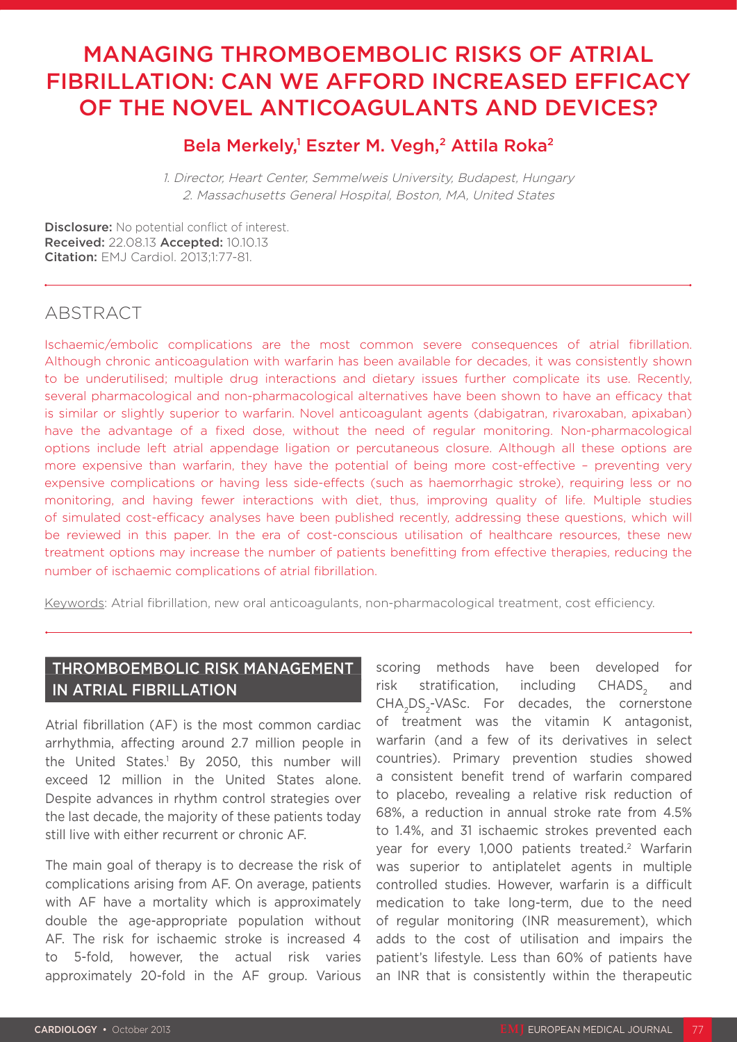# MANAGING THROMBOEMBOLIC RISKS OF ATRIAL FIBRILLATION: CAN WE AFFORD INCREASED EFFICACY OF THE NOVEL ANTICOAGULANTS AND DEVICES?

# Bela Merkely,<sup>1</sup> Eszter M. Vegh,<sup>2</sup> Attila Roka<sup>2</sup>

1. Director, Heart Center, Semmelweis University, Budapest, Hungary 2. Massachusetts General Hospital, Boston, MA, United States

Disclosure: No potential conflict of interest. Received: 22.08.13 Accepted: 10.10.13 Citation: EMJ Cardiol. 2013;1:77-81.

# **ABSTRACT**

Ischaemic/embolic complications are the most common severe consequences of atrial fibrillation. Although chronic anticoagulation with warfarin has been available for decades, it was consistently shown to be underutilised; multiple drug interactions and dietary issues further complicate its use. Recently, several pharmacological and non-pharmacological alternatives have been shown to have an efficacy that is similar or slightly superior to warfarin. Novel anticoagulant agents (dabigatran, rivaroxaban, apixaban) have the advantage of a fixed dose, without the need of regular monitoring. Non-pharmacological options include left atrial appendage ligation or percutaneous closure. Although all these options are more expensive than warfarin, they have the potential of being more cost-effective – preventing very expensive complications or having less side-effects (such as haemorrhagic stroke), requiring less or no monitoring, and having fewer interactions with diet, thus, improving quality of life. Multiple studies of simulated cost-efficacy analyses have been published recently, addressing these questions, which will be reviewed in this paper. In the era of cost-conscious utilisation of healthcare resources, these new treatment options may increase the number of patients benefitting from effective therapies, reducing the number of ischaemic complications of atrial fibrillation.

Keywords: Atrial fibrillation, new oral anticoagulants, non-pharmacological treatment, cost efficiency.

# THROMBOEMBOLIC RISK MANAGEMENT IN ATRIAL FIBRILLATION

Atrial fibrillation (AF) is the most common cardiac arrhythmia, affecting around 2.7 million people in the United States.<sup>1</sup> By 2050, this number will exceed 12 million in the United States alone. Despite advances in rhythm control strategies over the last decade, the majority of these patients today still live with either recurrent or chronic AF.

The main goal of therapy is to decrease the risk of complications arising from AF. On average, patients with AF have a mortality which is approximately double the age-appropriate population without AF. The risk for ischaemic stroke is increased 4 to 5-fold, however, the actual risk varies approximately 20-fold in the AF group. Various

scoring methods have been developed for risk stratification, including CHADS<sub>s</sub> and CHA<sub>2</sub>DS<sub>2</sub>-VASc. For decades, the cornerstone of treatment was the vitamin K antagonist, warfarin (and a few of its derivatives in select countries). Primary prevention studies showed a consistent benefit trend of warfarin compared to placebo, revealing a relative risk reduction of 68%, a reduction in annual stroke rate from 4.5% to 1.4%, and 31 ischaemic strokes prevented each year for every 1,000 patients treated.<sup>2</sup> Warfarin was superior to antiplatelet agents in multiple controlled studies. However, warfarin is a difficult medication to take long-term, due to the need of regular monitoring (INR measurement), which adds to the cost of utilisation and impairs the patient's lifestyle. Less than 60% of patients have an INR that is consistently within the therapeutic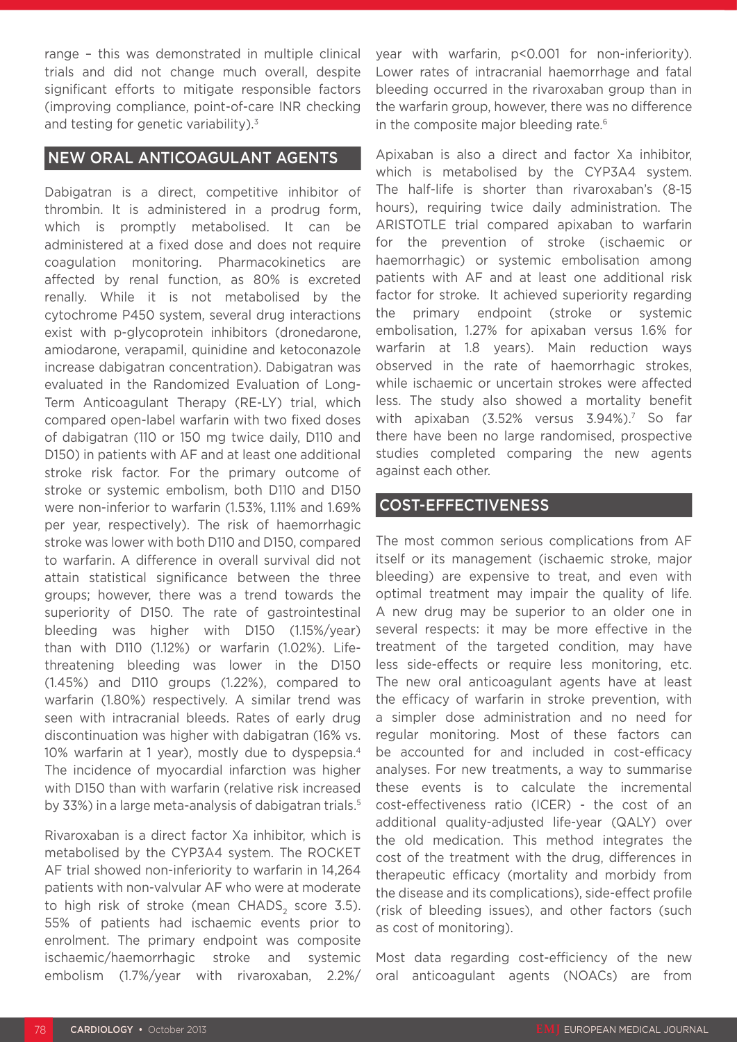range – this was demonstrated in multiple clinical trials and did not change much overall, despite significant efforts to mitigate responsible factors (improving compliance, point-of-care INR checking and testing for genetic variability). $3$ 

## NEW ORAL ANTICOAGULANT AGENTS

Dabigatran is a direct, competitive inhibitor of thrombin. It is administered in a prodrug form, which is promptly metabolised. It can be administered at a fixed dose and does not require coagulation monitoring. Pharmacokinetics are affected by renal function, as 80% is excreted renally. While it is not metabolised by the cytochrome P450 system, several drug interactions exist with p-glycoprotein inhibitors (dronedarone, amiodarone, verapamil, quinidine and ketoconazole increase dabigatran concentration). Dabigatran was evaluated in the Randomized Evaluation of Long-Term Anticoagulant Therapy (RE-LY) trial, which compared open-label warfarin with two fixed doses of dabigatran (110 or 150 mg twice daily, D110 and D150) in patients with AF and at least one additional stroke risk factor. For the primary outcome of stroke or systemic embolism, both D110 and D150 were non-inferior to warfarin (1.53%, 1.11% and 1.69% per year, respectively). The risk of haemorrhagic stroke was lower with both D110 and D150, compared to warfarin. A difference in overall survival did not attain statistical significance between the three groups; however, there was a trend towards the superiority of D150. The rate of gastrointestinal bleeding was higher with D150 (1.15%/year) than with D110 (1.12%) or warfarin (1.02%). Lifethreatening bleeding was lower in the D150 (1.45%) and D110 groups (1.22%), compared to warfarin (1.80%) respectively. A similar trend was seen with intracranial bleeds. Rates of early drug discontinuation was higher with dabigatran (16% vs. 10% warfarin at 1 year), mostly due to dyspepsia.4 The incidence of myocardial infarction was higher with D150 than with warfarin (relative risk increased by 33%) in a large meta-analysis of dabigatran trials.<sup>5</sup>

Rivaroxaban is a direct factor Xa inhibitor, which is metabolised by the CYP3A4 system. The ROCKET AF trial showed non-inferiority to warfarin in 14,264 patients with non-valvular AF who were at moderate to high risk of stroke (mean CHADS, score 3.5). 55% of patients had ischaemic events prior to enrolment. The primary endpoint was composite ischaemic/haemorrhagic stroke and systemic embolism (1.7%/year with rivaroxaban, 2.2%/

year with warfarin, p<0.001 for non-inferiority). Lower rates of intracranial haemorrhage and fatal bleeding occurred in the rivaroxaban group than in the warfarin group, however, there was no difference in the composite major bleeding rate.<sup>6</sup>

Apixaban is also a direct and factor Xa inhibitor, which is metabolised by the CYP3A4 system. The half-life is shorter than rivaroxaban's (8-15 hours), requiring twice daily administration. The ARISTOTLE trial compared apixaban to warfarin for the prevention of stroke (ischaemic or haemorrhagic) or systemic embolisation among patients with AF and at least one additional risk factor for stroke. It achieved superiority regarding the primary endpoint (stroke or systemic embolisation, 1.27% for apixaban versus 1.6% for warfarin at 1.8 years). Main reduction ways observed in the rate of haemorrhagic strokes, while ischaemic or uncertain strokes were affected less. The study also showed a mortality benefit with apixaban (3.52% versus 3.94%).<sup>7</sup> So far there have been no large randomised, prospective studies completed comparing the new agents against each other.

#### COST-EFFECTIVENESS

The most common serious complications from AF itself or its management (ischaemic stroke, major bleeding) are expensive to treat, and even with optimal treatment may impair the quality of life. A new drug may be superior to an older one in several respects: it may be more effective in the treatment of the targeted condition, may have less side-effects or require less monitoring, etc. The new oral anticoagulant agents have at least the efficacy of warfarin in stroke prevention, with a simpler dose administration and no need for regular monitoring. Most of these factors can be accounted for and included in cost-efficacy analyses. For new treatments, a way to summarise these events is to calculate the incremental cost-effectiveness ratio (ICER) - the cost of an additional quality-adjusted life-year (QALY) over the old medication. This method integrates the cost of the treatment with the drug, differences in therapeutic efficacy (mortality and morbidy from the disease and its complications), side-effect profile (risk of bleeding issues), and other factors (such as cost of monitoring).

Most data regarding cost-efficiency of the new oral anticoagulant agents (NOACs) are from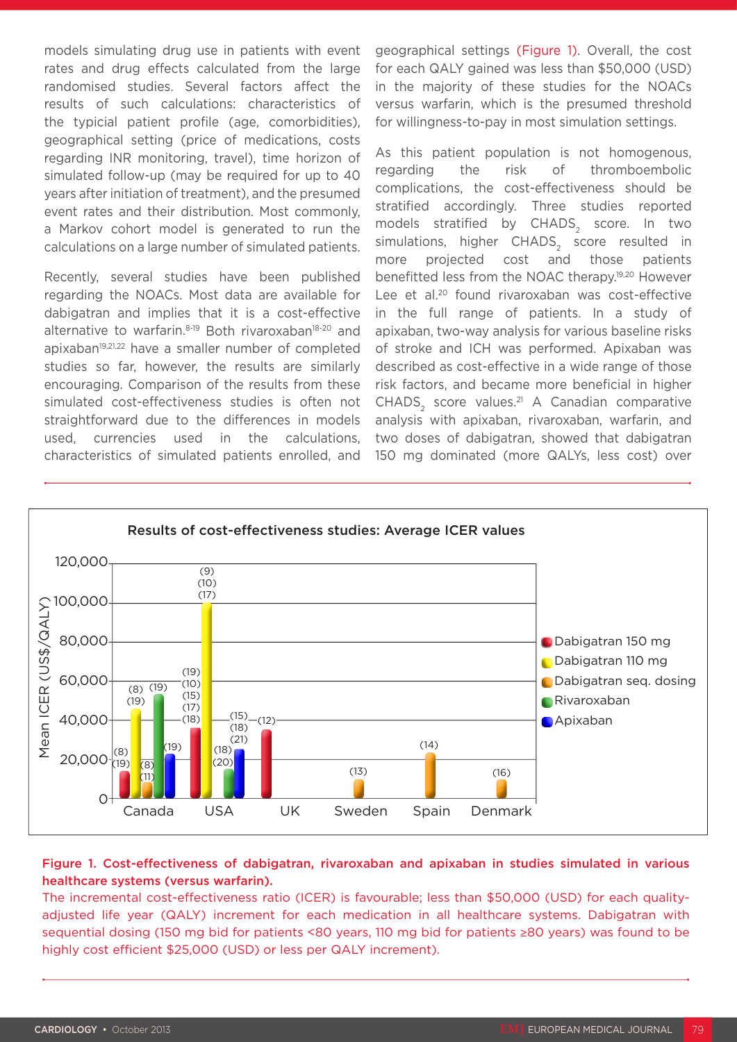models simulating drug use in patients with event rates and drug effects calculated from the large randomised studies. Several factors affect the results of such calculations: characteristics of the typicial patient profile (age, comorbidities), geographical setting (price of medications, costs regarding INR monitoring, travel), time horizon of simulated follow-up (may be required for up to 40 years after initiation of treatment), and the presumed event rates and their distribution. Most commonly, a Markov cohort model is generated to run the calculations on a large number of simulated patients.

Recently, several studies have been published regarding the NOACs. Most data are available for dabigatran and implies that it is a cost-effective alternative to warfarin.<sup>8-19</sup> Both rivaroxaban<sup>18-20</sup> and apixaban<sup>19,21,22</sup> have a smaller number of completed studies so far, however, the results are similarly encouraging. Comparison of the results from these simulated cost-effectiveness studies is often not straightforward due to the differences in models used, currencies used in the calculations, characteristics of simulated patients enrolled, and

geographical settings (Figure 1). Overall, the cost for each QALY gained was less than \$50,000 (USD) in the majority of these studies for the NOACs versus warfarin, which is the presumed threshold for willingness-to-pay in most simulation settings.

As this patient population is not homogenous, regarding the risk of thromboembolic complications, the cost-effectiveness should be stratified accordingly. Three studies reported models stratified by CHADS<sub>2</sub> score. In two simulations, higher CHADS, score resulted in more projected cost and those patients benefitted less from the NOAC therapy.19,20 However Lee et al.<sup>20</sup> found rivaroxaban was cost-effective in the full range of patients. In a study of apixaban, two-way analysis for various baseline risks of stroke and ICH was performed. Apixaban was described as cost-effective in a wide range of those risk factors, and became more beneficial in higher  $CHADS<sub>2</sub> score values.<sup>21</sup> A Canadian comparative$ analysis with apixaban, rivaroxaban, warfarin, and two doses of dabigatran, showed that dabigatran 150 mg dominated (more QALYs, less cost) over



#### Figure 1. Cost-effectiveness of dabigatran, rivaroxaban and apixaban in studies simulated in various healthcare systems (versus warfarin).

The incremental cost-effectiveness ratio (ICER) is favourable; less than \$50,000 (USD) for each qualityadjusted life year (QALY) increment for each medication in all healthcare systems. Dabigatran with sequential dosing (150 mg bid for patients <80 years, 110 mg bid for patients ≥80 years) was found to be highly cost efficient \$25,000 (USD) or less per QALY increment).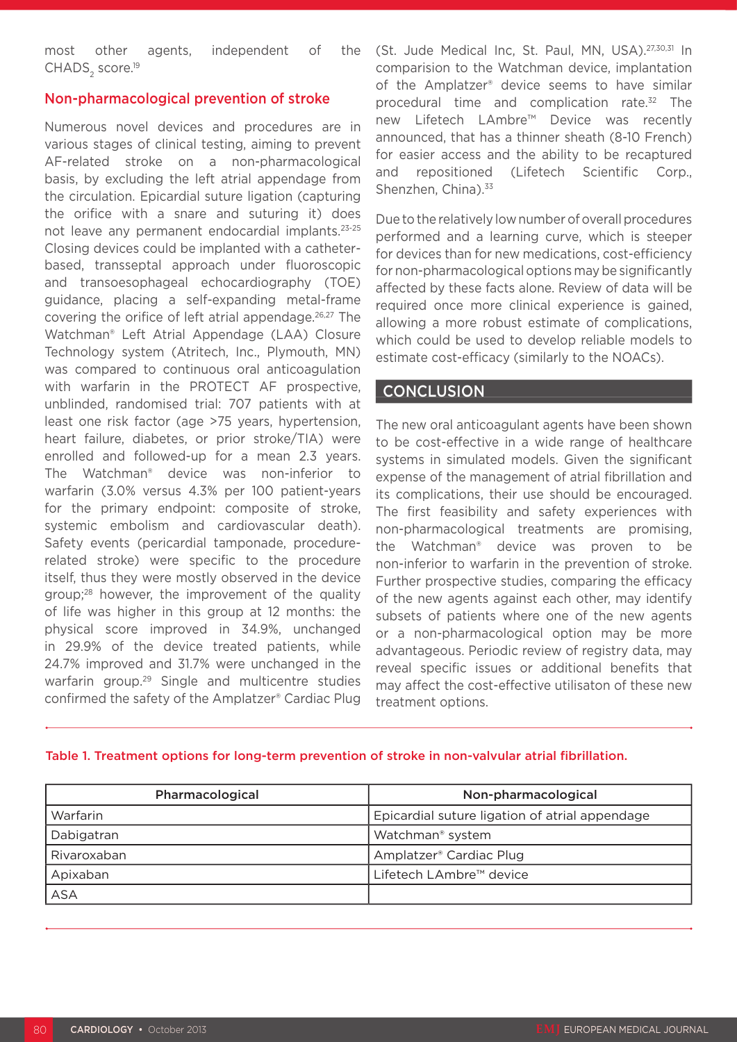most other agents, independent of the CHADS<sub>2</sub> score.<sup>19</sup>

### Non-pharmacological prevention of stroke

Numerous novel devices and procedures are in various stages of clinical testing, aiming to prevent AF-related stroke on a non-pharmacological basis, by excluding the left atrial appendage from the circulation. Epicardial suture ligation (capturing the orifice with a snare and suturing it) does not leave any permanent endocardial implants.23-25 Closing devices could be implanted with a catheterbased, transseptal approach under fluoroscopic and transoesophageal echocardiography (TOE) guidance, placing a self-expanding metal-frame covering the orifice of left atrial appendage.26,27 The Watchman® Left Atrial Appendage (LAA) Closure Technology system (Atritech, Inc., Plymouth, MN) was compared to continuous oral anticoagulation with warfarin in the PROTECT AF prospective, unblinded, randomised trial: 707 patients with at least one risk factor (age >75 years, hypertension, heart failure, diabetes, or prior stroke/TIA) were enrolled and followed-up for a mean 2.3 years. The Watchman® device was non-inferior to warfarin (3.0% versus 4.3% per 100 patient-years for the primary endpoint: composite of stroke, systemic embolism and cardiovascular death). Safety events (pericardial tamponade, procedurerelated stroke) were specific to the procedure itself, thus they were mostly observed in the device group;<sup>28</sup> however, the improvement of the quality of life was higher in this group at 12 months: the physical score improved in 34.9%, unchanged in 29.9% of the device treated patients, while 24.7% improved and 31.7% were unchanged in the warfarin group.29 Single and multicentre studies confirmed the safety of the Amplatzer® Cardiac Plug

(St. Jude Medical Inc, St. Paul, MN, USA).27,30,31 In comparision to the Watchman device, implantation of the Amplatzer® device seems to have similar procedural time and complication rate.32 The new Lifetech LAmbre™ Device was recently announced, that has a thinner sheath (8-10 French) for easier access and the ability to be recaptured and repositioned (Lifetech Scientific Corp., Shenzhen, China).<sup>33</sup>

Due to the relatively low number of overall procedures performed and a learning curve, which is steeper for devices than for new medications, cost-efficiency for non-pharmacological options may be significantly affected by these facts alone. Review of data will be required once more clinical experience is gained, allowing a more robust estimate of complications, which could be used to develop reliable models to estimate cost-efficacy (similarly to the NOACs).

## **CONCLUSION**

The new oral anticoagulant agents have been shown to be cost-effective in a wide range of healthcare systems in simulated models. Given the significant expense of the management of atrial fibrillation and its complications, their use should be encouraged. The first feasibility and safety experiences with non-pharmacological treatments are promising, the Watchman® device was proven to be non-inferior to warfarin in the prevention of stroke. Further prospective studies, comparing the efficacy of the new agents against each other, may identify subsets of patients where one of the new agents or a non-pharmacological option may be more advantageous. Periodic review of registry data, may reveal specific issues or additional benefits that may affect the cost-effective utilisaton of these new treatment options.

| Pharmacological | Non-pharmacological                            |
|-----------------|------------------------------------------------|
| Warfarin        | Epicardial suture ligation of atrial appendage |
| Dabigatran      | Watchman <sup>®</sup> system                   |
| Rivaroxaban     | Amplatzer <sup>®</sup> Cardiac Plug            |
| Apixaban        | Lifetech LAmbre™ device                        |
| <b>ASA</b>      |                                                |

#### Table 1. Treatment options for long-term prevention of stroke in non-valvular atrial fibrillation.